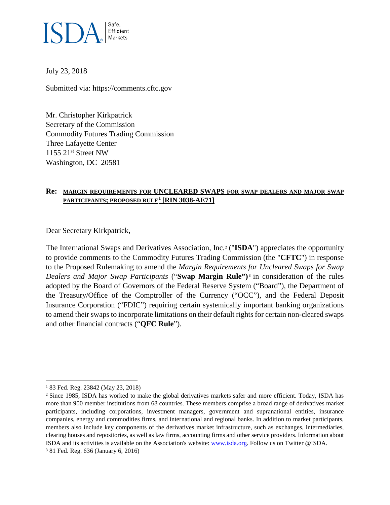

July 23, 2018

Submitted via: https://comments.cftc.gov

Mr. Christopher Kirkpatrick Secretary of the Commission Commodity Futures Trading Commission Three Lafayette Center  $1155$   $21<sup>st</sup>$  Street NW Washington, DC 20581

### **Re: MARGIN REQUIREMENTS FOR UNCLEARED SWAPS FOR SWAP DEALERS AND MAJOR SWAP PARTICIPANTS; PROPOSED RULE[1](#page-0-0) [RIN 3038-AE71]**

Dear Secretary Kirkpatrick,

The International Swaps and Derivatives Association, Inc.[2](#page-0-1) ("**ISDA**") appreciates the opportunity to provide comments to the Commodity Futures Trading Commission (the "**CFTC**") in response to the Proposed Rulemaking to amend the *Margin Requirements for Uncleared Swaps for Swap Dealers and Major Swap Participants* ("**Swap Margin Rule") [3](#page-0-2)** in consideration of the rules adopted by the Board of Governors of the Federal Reserve System ("Board"), the Department of the Treasury/Office of the Comptroller of the Currency ("OCC"), and the Federal Deposit Insurance Corporation ("FDIC") requiring certain systemically important banking organizations to amend their swaps to incorporate limitations on their default rights for certain non-cleared swaps and other financial contracts ("**QFC Rule**").

<span id="page-0-0"></span> <sup>1</sup> 83 Fed. Reg. 23842 (May 23, 2018)

<span id="page-0-1"></span><sup>2</sup> Since 1985, ISDA has worked to make the global derivatives markets safer and more efficient. Today, ISDA has more than 900 member institutions from 68 countries. These members comprise a broad range of derivatives market participants, including corporations, investment managers, government and supranational entities, insurance companies, energy and commodities firms, and international and regional banks. In addition to market participants, members also include key components of the derivatives market infrastructure, such as exchanges, intermediaries, clearing houses and repositories, as well as law firms, accounting firms and other service providers. Information about ISDA and its activities is available on the Association's website[: www.isda.org.](http://www.isda.org/) Follow us on Twitter @ISDA.

<span id="page-0-2"></span><sup>3</sup> 81 Fed. Reg. 636 (January 6, 2016)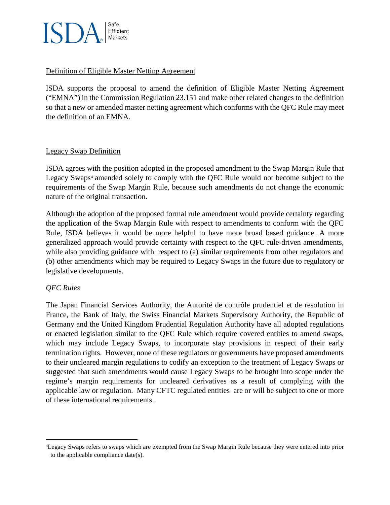

### Definition of Eligible Master Netting Agreement

ISDA supports the proposal to amend the definition of Eligible Master Netting Agreement ("EMNA") in the Commission Regulation 23.151 and make other related changes to the definition so that a new or amended master netting agreement which conforms with the QFC Rule may meet the definition of an EMNA.

### Legacy Swap Definition

ISDA agrees with the position adopted in the proposed amendment to the Swap Margin Rule that Legacy Swaps<sup>[4](#page-1-0)</sup> amended solely to comply with the QFC Rule would not become subject to the requirements of the Swap Margin Rule, because such amendments do not change the economic nature of the original transaction.

Although the adoption of the proposed formal rule amendment would provide certainty regarding the application of the Swap Margin Rule with respect to amendments to conform with the QFC Rule, ISDA believes it would be more helpful to have more broad based guidance. A more generalized approach would provide certainty with respect to the QFC rule-driven amendments, while also providing guidance with respect to (a) similar requirements from other regulators and (b) other amendments which may be required to Legacy Swaps in the future due to regulatory or legislative developments.

# *QFC Rules*

The Japan Financial Services Authority, the Autorité de contrôle prudentiel et de resolution in France, the Bank of Italy, the Swiss Financial Markets Supervisory Authority, the Republic of Germany and the United Kingdom Prudential Regulation Authority have all adopted regulations or enacted legislation similar to the QFC Rule which require covered entities to amend swaps, which may include Legacy Swaps, to incorporate stay provisions in respect of their early termination rights. However, none of these regulators or governments have proposed amendments to their uncleared margin regulations to codify an exception to the treatment of Legacy Swaps or suggested that such amendments would cause Legacy Swaps to be brought into scope under the regime's margin requirements for uncleared derivatives as a result of complying with the applicable law or regulation. Many CFTC regulated entities are or will be subject to one or more of these international requirements.

<span id="page-1-0"></span> <sup>4</sup>Legacy Swaps refers to swaps which are exempted from the Swap Margin Rule because they were entered into prior to the applicable compliance date(s).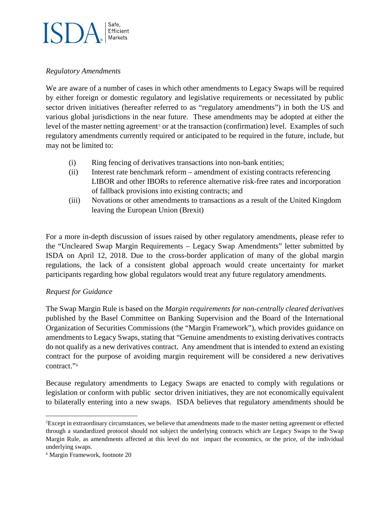# Safe, Efficient Markets

## *Regulatory Amendments*

We are aware of a number of cases in which other amendments to Legacy Swaps will be required by either foreign or domestic regulatory and legislative requirements or necessitated by public sector driven initiatives (hereafter referred to as "regulatory amendments") in both the US and various global jurisdictions in the near future. These amendments may be adopted at either the level of the master netting agreement<sup>[5](#page-2-0)</sup> or at the transaction (confirmation) level. Examples of such regulatory amendments currently required or anticipated to be required in the future, include, but may not be limited to:

- (i) Ring fencing of derivatives transactions into non-bank entities;
- (ii) Interest rate benchmark reform amendment of existing contracts referencing LIBOR and other IBORs to reference alternative risk-free rates and incorporation of fallback provisions into existing contracts; and
- (iii) Novations or other amendments to transactions as a result of the United Kingdom leaving the European Union (Brexit)

For a more in-depth discussion of issues raised by other regulatory amendments, please refer to the "Uncleared Swap Margin Requirements – Legacy Swap Amendments" letter submitted by ISDA on April 12, 2018. Due to the cross-border application of many of the global margin regulations, the lack of a consistent global approach would create uncertainty for market participants regarding how global regulators would treat any future regulatory amendments.

# *Request for Guidance*

The Swap Margin Rule is based on the *Margin requirements for non-centrally cleared derivatives*  published by the Basel Committee on Banking Supervision and the Board of the International Organization of Securities Commissions (the "Margin Framework"), which provides guidance on amendments to Legacy Swaps, stating that "Genuine amendments to existing derivatives contracts do not qualify as a new derivatives contract. Any amendment that is intended to extend an existing contract for the purpose of avoiding margin requirement will be considered a new derivatives contract."[6](#page-2-1) 

Because regulatory amendments to Legacy Swaps are enacted to comply with regulations or legislation or conform with public sector driven initiatives, they are not economically equivalent to bilaterally entering into a new swaps. ISDA believes that regulatory amendments should be

<span id="page-2-0"></span> <sup>5</sup>Except in extraordinary circumstances, we believe that amendments made to the master netting agreement or effected through a standardized protocol should not subject the underlying contracts which are Legacy Swaps to the Swap Margin Rule, as amendments affected at this level do not impact the economics, or the price, of the individual underlying swaps.

<span id="page-2-1"></span><sup>6</sup> Margin Framework, footnote 20